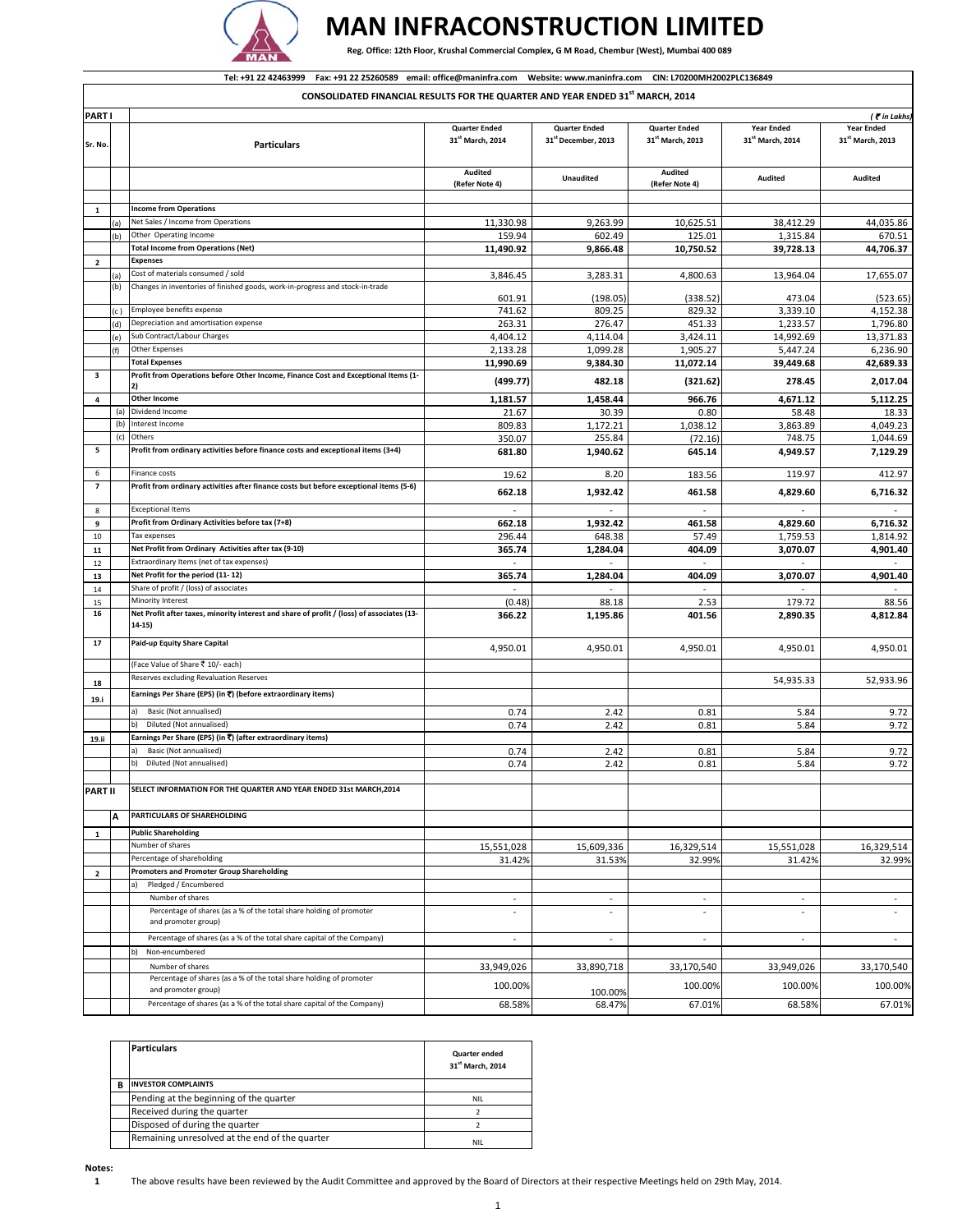

## **MAN INFRACONSTRUCTION LIMITED**

Reg. Office: 12th Floor, Krushal Commercial Complex, G M Road, Chembur (West), Mumbai 400 089

## Tel: +91 22 42463999 Fax: +91 22 25260589 email: office@maninfra.com Website: www.maninfra.com CIN: L70200MH2002PLC136849

**CONSOLIDATED FINANCIAL RESULTS FOR THE QUARTER AND YEAR ENDED 31st MARCH, 2014**

| <b>PART</b>             |      |                                                                                           |                              |                                 |                              |                              | $($ $\bar{\mathbf{c}}$ in Lakhs |
|-------------------------|------|-------------------------------------------------------------------------------------------|------------------------------|---------------------------------|------------------------------|------------------------------|---------------------------------|
|                         |      |                                                                                           |                              |                                 |                              |                              |                                 |
|                         |      |                                                                                           | <b>Quarter Ended</b>         | <b>Quarter Ended</b>            | <b>Quarter Ended</b>         | <b>Year Ended</b>            | <b>Year Ended</b>               |
|                         |      |                                                                                           | 31 <sup>st</sup> March, 2014 | 31 <sup>st</sup> December, 2013 | 31 <sup>st</sup> March, 2013 | 31 <sup>st</sup> March, 2014 | 31 <sup>st</sup> March, 2013    |
| Sr. No.                 |      | <b>Particulars</b>                                                                        |                              |                                 |                              |                              |                                 |
|                         |      |                                                                                           |                              |                                 |                              |                              |                                 |
|                         |      |                                                                                           |                              |                                 |                              |                              |                                 |
|                         |      |                                                                                           | Audited                      |                                 | Audited                      |                              |                                 |
|                         |      |                                                                                           |                              | <b>Unaudited</b>                |                              | Audited                      | Audited                         |
|                         |      |                                                                                           | (Refer Note 4)               |                                 | (Refer Note 4)               |                              |                                 |
|                         |      |                                                                                           |                              |                                 |                              |                              |                                 |
|                         |      |                                                                                           |                              |                                 |                              |                              |                                 |
| 1                       |      | <b>Income from Operations</b>                                                             |                              |                                 |                              |                              |                                 |
|                         | al   | Net Sales / Income from Operations                                                        | 11,330.98                    | 9,263.99                        | 10,625.51                    | 38,412.29                    | 44,035.86                       |
|                         |      |                                                                                           |                              |                                 |                              |                              |                                 |
|                         | b)   | Other Operating Income                                                                    | 159.94                       | 602.49                          | 125.01                       | 1,315.84                     | 670.51                          |
|                         |      | <b>Total Income from Operations (Net)</b>                                                 | 11,490.92                    | 9,866.48                        | 10,750.52                    | 39,728.13                    | 44,706.37                       |
|                         |      |                                                                                           |                              |                                 |                              |                              |                                 |
| $\overline{2}$          |      | <b>Expenses</b>                                                                           |                              |                                 |                              |                              |                                 |
|                         |      | Cost of materials consumed / sold                                                         |                              |                                 |                              |                              |                                 |
|                         | (a)  |                                                                                           | 3,846.45                     | 3,283.31                        | 4,800.63                     | 13.964.04                    | 17,655.07                       |
|                         | (b)  | Changes in inventories of finished goods, work-in-progress and stock-in-trade             |                              |                                 |                              |                              |                                 |
|                         |      |                                                                                           |                              |                                 |                              |                              |                                 |
|                         |      |                                                                                           | 601.91                       | (198.05)                        | (338.52)                     | 473.04                       | (523.65)                        |
|                         | (c ) | Employee benefits expense                                                                 | 741.62                       | 809.25                          | 829.32                       | 3,339.10                     | 4,152.38                        |
|                         |      |                                                                                           |                              |                                 |                              |                              |                                 |
|                         | d)   | Depreciation and amortisation expense                                                     | 263.31                       | 276.47                          | 451.33                       | 1,233.57                     | 1,796.80                        |
|                         |      | Sub Contract/Labour Charges                                                               | 4,404.12                     | 4,114.04                        | 3,424.11                     | 14,992.69                    | 13,371.83                       |
|                         | (e)  |                                                                                           |                              |                                 |                              |                              |                                 |
|                         | (f)  | Other Expenses                                                                            | 2,133.28                     | 1,099.28                        | 1,905.27                     | 5,447.24                     | 6,236.90                        |
|                         |      |                                                                                           |                              |                                 |                              |                              |                                 |
|                         |      | <b>Total Expenses</b>                                                                     | 11,990.69                    | 9,384.30                        | 11,072.14                    | 39,449.68                    | 42,689.33                       |
| 3                       |      | Profit from Operations before Other Income, Finance Cost and Exceptional Items (1-        |                              |                                 |                              |                              |                                 |
|                         |      |                                                                                           | (499.77)                     | 482.18                          | (321.62)                     | 278.45                       | 2,017.04                        |
|                         |      | 2)                                                                                        |                              |                                 |                              |                              |                                 |
| 4                       |      | Other Income                                                                              | 1,181.57                     | 1,458.44                        | 966.76                       | 4,671.12                     | 5,112.25                        |
|                         |      |                                                                                           |                              |                                 |                              |                              |                                 |
|                         | (a)  | Dividend Income                                                                           | 21.67                        | 30.39                           | 0.80                         | 58.48                        | 18.33                           |
|                         | (b)  | Interest Income                                                                           |                              |                                 |                              |                              |                                 |
|                         |      |                                                                                           | 809.83                       | 1,172.21                        | 1,038.12                     | 3,863.89                     | 4,049.23                        |
|                         | (c)  | Others                                                                                    | 350.07                       | 255.84                          | (72.16)                      | 748.75                       | 1,044.69                        |
|                         |      |                                                                                           |                              |                                 |                              |                              |                                 |
| 5                       |      | Profit from ordinary activities before finance costs and exceptional items (3+4)          | 681.80                       | 1,940.62                        | 645.14                       | 4,949.57                     | 7,129.29                        |
|                         |      |                                                                                           |                              |                                 |                              |                              |                                 |
| 6                       |      |                                                                                           |                              |                                 |                              |                              |                                 |
|                         |      | Finance costs                                                                             | 19.62                        | 8.20                            | 183.56                       | 119.97                       | 412.97                          |
| $\overline{\textbf{z}}$ |      | Profit from ordinary activities after finance costs but before exceptional items (5-6)    |                              |                                 |                              |                              |                                 |
|                         |      |                                                                                           | 662.18                       | 1,932.42                        | 461.58                       | 4,829.60                     | 6,716.32                        |
|                         |      |                                                                                           |                              |                                 |                              |                              |                                 |
| 8                       |      | <b>Exceptional Items</b>                                                                  |                              |                                 |                              |                              |                                 |
|                         |      |                                                                                           |                              |                                 |                              |                              |                                 |
| 9                       |      | Profit from Ordinary Activities before tax (7+8)                                          | 662.18                       | 1,932.42                        | 461.58                       | 4,829.60                     | 6,716.32                        |
| 10                      |      | Tax expenses                                                                              | 296.44                       | 648.38                          | 57.49                        | 1,759.53                     | 1,814.92                        |
|                         |      |                                                                                           |                              |                                 |                              |                              |                                 |
| 11                      |      | Net Profit from Ordinary Activities after tax (9-10)                                      | 365.74                       | 1,284.04                        | 404.09                       | 3,070.07                     | 4,901.40                        |
|                         |      |                                                                                           |                              |                                 | $\omega$                     |                              |                                 |
| 12                      |      | Extraordinary Items (net of tax expenses)                                                 | $\omega$                     |                                 |                              |                              |                                 |
| 13                      |      | Net Profit for the period (11-12)                                                         | 365.74                       | 1,284.04                        | 404.09                       | 3,070.07                     | 4,901.40                        |
|                         |      |                                                                                           |                              |                                 |                              |                              |                                 |
| 14                      |      | Share of profit / (loss) of associates                                                    |                              |                                 |                              |                              |                                 |
| 15                      |      | Minority Interest                                                                         | (0.48)                       | 88.18                           | 2.53                         | 179.72                       | 88.56                           |
|                         |      |                                                                                           |                              |                                 |                              |                              |                                 |
| 16                      |      | Net Profit after taxes, minority interest and share of profit / (loss) of associates (13- | 366.22                       | 1,195.86                        | 401.56                       | 2,890.35                     | 4,812.84                        |
|                         |      | 14-15)                                                                                    |                              |                                 |                              |                              |                                 |
|                         |      |                                                                                           |                              |                                 |                              |                              |                                 |
| 17                      |      | Paid-up Equity Share Capital                                                              |                              |                                 |                              |                              |                                 |
|                         |      |                                                                                           | 4,950.01                     | 4,950.01                        | 4,950.01                     | 4,950.01                     | 4,950.01                        |
|                         |      |                                                                                           |                              |                                 |                              |                              |                                 |
|                         |      | (Face Value of Share ₹ 10/- each)                                                         |                              |                                 |                              |                              |                                 |
|                         |      |                                                                                           |                              |                                 |                              |                              |                                 |
|                         |      | Reserves excluding Revaluation Reserves                                                   |                              |                                 |                              | 54,935.33                    | 52,933.96                       |
| 18                      |      |                                                                                           |                              |                                 |                              |                              |                                 |
| 19.i                    |      | Earnings Per Share (EPS) (in ₹) (before extraordinary items)                              |                              |                                 |                              |                              |                                 |
|                         |      |                                                                                           |                              |                                 |                              |                              |                                 |
|                         |      | Basic (Not annualised)<br>a)                                                              | 0.74                         | 2.42                            | 0.81                         | 5.84                         | 9.72                            |
|                         |      | b)<br>Diluted (Not annualised)                                                            | 0.74                         | 2.42                            | 0.81                         | 5.84                         | 9.72                            |
|                         |      |                                                                                           |                              |                                 |                              |                              |                                 |
| 19.ii                   |      | Earnings Per Share (EPS) (in ₹) (after extraordinary items)                               |                              |                                 |                              |                              |                                 |
|                         |      | Basic (Not annualised)                                                                    |                              |                                 |                              |                              |                                 |
|                         |      | a)                                                                                        | 0.74                         | 2.42                            | 0.81                         | 5.84                         | 9.72                            |
|                         |      | Diluted (Not annualised)<br>b)                                                            | 0.74                         | 2.42                            | 0.81                         | 5.84                         | 9.72                            |
|                         |      |                                                                                           |                              |                                 |                              |                              |                                 |
|                         |      |                                                                                           |                              |                                 |                              |                              |                                 |
| <b>PART II</b>          |      | SELECT INFORMATION FOR THE QUARTER AND YEAR ENDED 31st MARCH.2014                         |                              |                                 |                              |                              |                                 |
|                         |      |                                                                                           |                              |                                 |                              |                              |                                 |
|                         |      |                                                                                           |                              |                                 |                              |                              |                                 |
|                         |      | PARTICULARS OF SHAREHOLDING                                                               |                              |                                 |                              |                              |                                 |
|                         | A    |                                                                                           |                              |                                 |                              |                              |                                 |
|                         |      | <b>Public Shareholding</b>                                                                |                              |                                 |                              |                              |                                 |
| $\mathbf 1$             |      |                                                                                           |                              |                                 |                              |                              |                                 |
|                         |      | Number of shares                                                                          | 15,551,028                   | 15,609,336                      | 16,329,514                   | 15,551,028                   | 16,329,514                      |
|                         |      |                                                                                           |                              |                                 |                              |                              |                                 |
|                         |      | Percentage of shareholding                                                                | 31.42%                       | 31.53%                          | 32.99%                       | 31.42%                       | 32.99%                          |
| $\overline{2}$          |      | <b>Promoters and Promoter Group Shareholding</b>                                          |                              |                                 |                              |                              |                                 |
|                         |      |                                                                                           |                              |                                 |                              |                              |                                 |
|                         |      | Pledged / Encumbered<br>a)                                                                |                              |                                 |                              |                              |                                 |
|                         |      |                                                                                           |                              |                                 |                              |                              |                                 |
|                         |      | Number of shares                                                                          | $\sim$                       | $\sim$                          | $\sim$                       | $\blacksquare$               | $\sim$                          |
|                         |      | Percentage of shares (as a % of the total share holding of promoter                       |                              |                                 |                              |                              |                                 |
|                         |      |                                                                                           |                              |                                 |                              |                              |                                 |
|                         |      | and promoter group)                                                                       |                              |                                 |                              |                              |                                 |
|                         |      |                                                                                           |                              |                                 |                              |                              |                                 |
|                         |      | Percentage of shares (as a % of the total share capital of the Company)                   | $\sim$                       | $\sim$                          | $\sim$                       | $\overline{\phantom{a}}$     | $\sim$                          |
|                         |      | b)<br>Non-encumbered                                                                      |                              |                                 |                              |                              |                                 |
|                         |      |                                                                                           |                              |                                 |                              |                              |                                 |
|                         |      | Number of shares                                                                          | 33,949,026                   | 33,890,718                      | 33,170,540                   | 33,949,026                   | 33,170,540                      |
|                         |      |                                                                                           |                              |                                 |                              |                              |                                 |
|                         |      | Percentage of shares (as a % of the total share holding of promoter                       | 100.00%                      |                                 | 100.00%                      |                              | 100.00%                         |
|                         |      | and promoter group)                                                                       |                              | 100.00%                         |                              | 100.00%                      |                                 |
|                         |      |                                                                                           |                              |                                 |                              |                              |                                 |
|                         |      | Percentage of shares (as a % of the total share capital of the Company)                   | 68.58%                       | 68.47%                          | 67.01%                       | 68.58%                       | 67.01%                          |

| <b>Particulars</b>                             | <b>Quarter ended</b><br>31 <sup>st</sup> March. 2014 |
|------------------------------------------------|------------------------------------------------------|
| <b>INVESTOR COMPLAINTS</b>                     |                                                      |
| Pending at the beginning of the quarter        | <b>NIL</b>                                           |
| Received during the quarter                    |                                                      |
| Disposed of during the quarter                 |                                                      |
| Remaining unresolved at the end of the quarter | <b>NIL</b>                                           |

**1** The above results have been reviewed by the Audit Committee and approved by the Board of Directors at their respective Meetings held on 29th May, 2014.